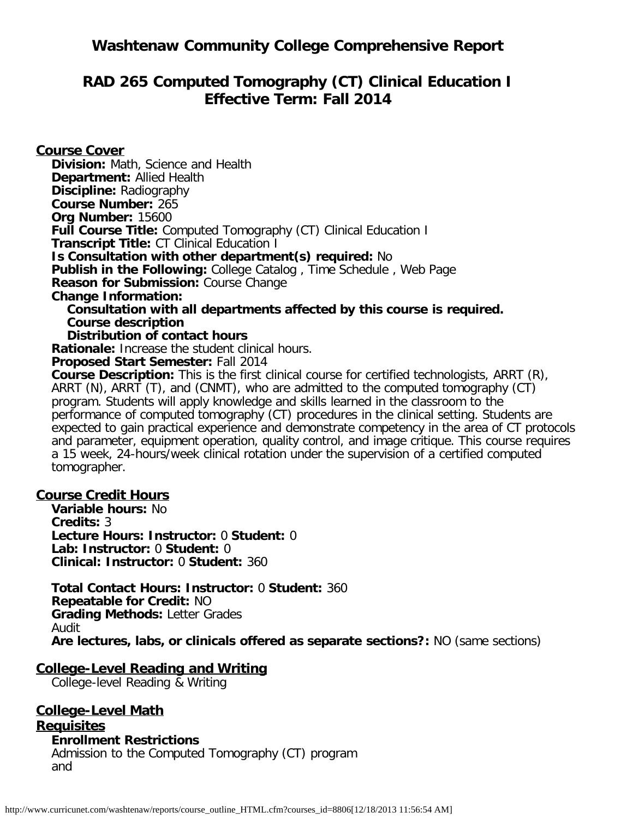# **Washtenaw Community College Comprehensive Report**

# **RAD 265 Computed Tomography (CT) Clinical Education I Effective Term: Fall 2014**

**Course Cover Division:** Math, Science and Health **Department:** Allied Health **Discipline:** Radiography **Course Number:** 265 **Org Number:** 15600 **Full Course Title:** Computed Tomography (CT) Clinical Education I **Transcript Title:** CT Clinical Education I **Is Consultation with other department(s) required:** No **Publish in the Following:** College Catalog , Time Schedule , Web Page **Reason for Submission:** Course Change **Change Information: Consultation with all departments affected by this course is required. Course description Distribution of contact hours Rationale:** Increase the student clinical hours. **Proposed Start Semester:** Fall 2014

**Course Description:** This is the first clinical course for certified technologists, ARRT (R), ARRT (N), ARRT (T), and (CNMT), who are admitted to the computed tomography (CT) program. Students will apply knowledge and skills learned in the classroom to the performance of computed tomography (CT) procedures in the clinical setting. Students are expected to gain practical experience and demonstrate competency in the area of CT protocols and parameter, equipment operation, quality control, and image critique. This course requires a 15 week, 24-hours/week clinical rotation under the supervision of a certified computed tomographer.

### **Course Credit Hours**

**Variable hours:** No **Credits:** 3 **Lecture Hours: Instructor:** 0 **Student:** 0 **Lab: Instructor:** 0 **Student:** 0 **Clinical: Instructor:** 0 **Student:** 360

**Total Contact Hours: Instructor:** 0 **Student:** 360 **Repeatable for Credit:** NO **Grading Methods:** Letter Grades Audit **Are lectures, labs, or clinicals offered as separate sections?:** NO (same sections)

### **College-Level Reading and Writing**

College-level Reading & Writing

# **College-Level Math**

**Requisites Enrollment Restrictions** Admission to the Computed Tomography (CT) program and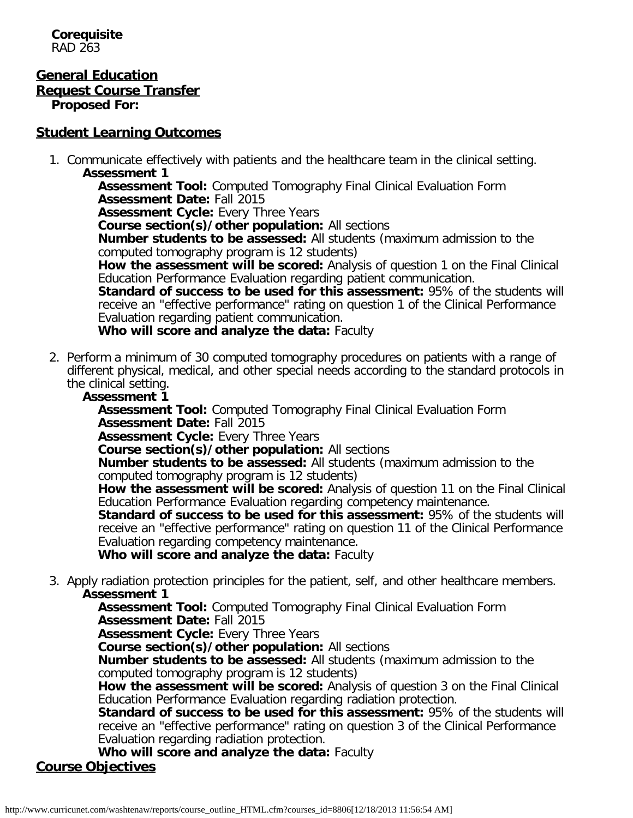**Corequisite** RAD 263

#### **General Education Request Course Transfer Proposed For:**

## **Student Learning Outcomes**

1. Communicate effectively with patients and the healthcare team in the clinical setting. **Assessment 1**

**Assessment Tool:** Computed Tomography Final Clinical Evaluation Form **Assessment Date:** Fall 2015

**Assessment Cycle:** Every Three Years

**Course section(s)/other population:** All sections

**Number students to be assessed:** All students (maximum admission to the computed tomography program is 12 students)

**How the assessment will be scored:** Analysis of question 1 on the Final Clinical Education Performance Evaluation regarding patient communication.

**Standard of success to be used for this assessment:** 95% of the students will receive an "effective performance" rating on question 1 of the Clinical Performance Evaluation regarding patient communication.

**Who will score and analyze the data:** Faculty

2. Perform a minimum of 30 computed tomography procedures on patients with a range of different physical, medical, and other special needs according to the standard protocols in the clinical setting.

## **Assessment 1**

**Assessment Tool:** Computed Tomography Final Clinical Evaluation Form **Assessment Date:** Fall 2015

**Assessment Cycle:** Every Three Years

**Course section(s)/other population:** All sections

**Number students to be assessed:** All students (maximum admission to the computed tomography program is 12 students)

**How the assessment will be scored:** Analysis of question 11 on the Final Clinical Education Performance Evaluation regarding competency maintenance.

**Standard of success to be used for this assessment:** 95% of the students will receive an "effective performance" rating on question 11 of the Clinical Performance Evaluation regarding competency maintenance.

**Who will score and analyze the data:** Faculty

3. Apply radiation protection principles for the patient, self, and other healthcare members. **Assessment 1**

**Assessment Tool:** Computed Tomography Final Clinical Evaluation Form **Assessment Date:** Fall 2015

**Assessment Cycle:** Every Three Years

**Course section(s)/other population:** All sections

**Number students to be assessed:** All students (maximum admission to the computed tomography program is 12 students)

**How the assessment will be scored:** Analysis of question 3 on the Final Clinical Education Performance Evaluation regarding radiation protection.

**Standard of success to be used for this assessment: 95% of the students will** receive an "effective performance" rating on question 3 of the Clinical Performance Evaluation regarding radiation protection.

**Who will score and analyze the data:** Faculty **Course Objectives**